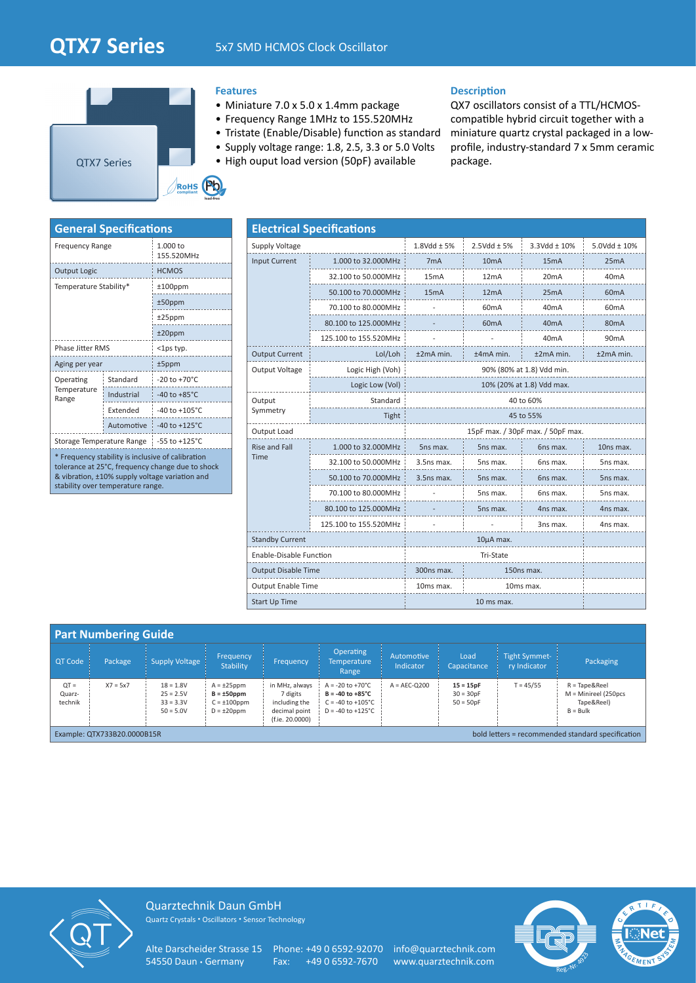# **QTX7 Series** 5x7 SMD HCMOS Clock Oscillator



# **Features**

- Miniature 7.0 x 5.0 x 1.4mm package
- Frequency Range 1MHz to 155.520MHz
- Tristate (Enable/Disable) function as standard
- Supply voltage range: 1.8, 2.5, 3.3 or 5.0 Volts
- High ouput load version (50pF) available

# **Description**

QX7 oscillators consist of a TTL/HCMOScompatible hybrid circuit together with a miniature quartz crystal packaged in a lowprofile, industry-standard 7 x 5mm ceramic package.

| <b>General Specifications</b>                                                                                                                                                                |            |                           |  |  |  |  |  |  |  |
|----------------------------------------------------------------------------------------------------------------------------------------------------------------------------------------------|------------|---------------------------|--|--|--|--|--|--|--|
| <b>Frequency Range</b>                                                                                                                                                                       |            | 1.000 to<br>155.520MHz    |  |  |  |  |  |  |  |
| <b>Output Logic</b>                                                                                                                                                                          |            | <b>HCMOS</b>              |  |  |  |  |  |  |  |
| Temperature Stability*                                                                                                                                                                       |            | $±100$ ppm                |  |  |  |  |  |  |  |
|                                                                                                                                                                                              |            | $±50$ ppm                 |  |  |  |  |  |  |  |
|                                                                                                                                                                                              |            | $±25$ ppm                 |  |  |  |  |  |  |  |
|                                                                                                                                                                                              |            | $±20$ ppm                 |  |  |  |  |  |  |  |
| <b>Phase Jitter RMS</b>                                                                                                                                                                      |            | $<$ 1ps typ.              |  |  |  |  |  |  |  |
| Aging per year                                                                                                                                                                               |            | $±5$ ppm                  |  |  |  |  |  |  |  |
| Operating                                                                                                                                                                                    | Standard   | $-20$ to $+70^{\circ}$ C  |  |  |  |  |  |  |  |
| Temperature<br>Range                                                                                                                                                                         | Industrial | $-40$ to $+85^{\circ}$ C  |  |  |  |  |  |  |  |
|                                                                                                                                                                                              | Extended   | $-40$ to $+105^{\circ}$ C |  |  |  |  |  |  |  |
|                                                                                                                                                                                              | Automotive | $-40$ to $+125^{\circ}$ C |  |  |  |  |  |  |  |
| Storage Temperature Range                                                                                                                                                                    |            | $-55$ to $+125^{\circ}$ C |  |  |  |  |  |  |  |
| * Frequency stability is inclusive of calibration<br>tolerance at 25°C, frequency change due to shock<br>& vibration, ±10% supply voltage variation and<br>stability over temperature range. |            |                           |  |  |  |  |  |  |  |

| <b>Electrical Specifications</b> |                       |                                   |                   |                   |                   |  |  |  |  |  |  |
|----------------------------------|-----------------------|-----------------------------------|-------------------|-------------------|-------------------|--|--|--|--|--|--|
| Supply Voltage                   |                       | $1.8$ Vdd $\pm$ 5%                | $2.5Vdd \pm 5%$   | 3.3Vdd ± 10%      | 5.0Vdd ± 10%      |  |  |  |  |  |  |
| <b>Input Current</b>             | 1.000 to 32.000MHz    | 7 <sub>m</sub> A                  | 10 <sub>m</sub> A | 15 <sub>m</sub> A | 25mA              |  |  |  |  |  |  |
|                                  | 32.100 to 50.000MHz   | 15 <sub>m</sub> A                 | 12mA              | 20 <sub>m</sub> A | 40 <sub>m</sub> A |  |  |  |  |  |  |
|                                  | 50.100 to 70.000MHz   | 15mA                              | 12mA              | 25mA              | 60 <sub>m</sub> A |  |  |  |  |  |  |
|                                  | 70.100 to 80.000MHz   |                                   | 60 <sub>m</sub> A | 40mA              | 60 <sub>m</sub> A |  |  |  |  |  |  |
|                                  | 80.100 to 125.000MHz  |                                   | 60mA              | 40mA              | 80 <sub>m</sub> A |  |  |  |  |  |  |
|                                  | 125.100 to 155.520MHz |                                   |                   | 40mA              | 90 <sub>m</sub> A |  |  |  |  |  |  |
| <b>Output Current</b>            | Lol/Loh               | $±2mA$ min.                       | $±4mA$ min.       | $±2mA$ min.       | $±2mA$ min.       |  |  |  |  |  |  |
| Output Voltage                   | Logic High (Voh)      | 90% (80% at 1.8) Vdd min.         |                   |                   |                   |  |  |  |  |  |  |
|                                  | Logic Low (Vol)       |                                   |                   |                   |                   |  |  |  |  |  |  |
| Output                           | Standard              |                                   |                   |                   |                   |  |  |  |  |  |  |
| Symmetry                         | Tight                 | 45 to 55%                         |                   |                   |                   |  |  |  |  |  |  |
| Output Load                      |                       | 15pF max. / 30pF max. / 50pF max. |                   |                   |                   |  |  |  |  |  |  |
| <b>Rise and Fall</b>             | 1.000 to 32.000MHz    | 5ns max.                          | 5ns max.          | 6ns max.          | 10ns max.         |  |  |  |  |  |  |
| Time                             | 32.100 to 50.000MHz   | 3.5ns max.                        | 5ns max.          | 6ns max.          | 5ns max.          |  |  |  |  |  |  |
|                                  | 50.100 to 70.000MHz   | 3.5ns max.                        | 5ns max.          | 6ns max.          | 5ns max.          |  |  |  |  |  |  |
|                                  | 70.100 to 80.000MHz   |                                   | 5ns max.          | 6ns max.          | 5ns max.          |  |  |  |  |  |  |
|                                  | 80.100 to 125.000MHz  |                                   | 5ns max.          | 4ns max.          | 4ns max.          |  |  |  |  |  |  |
|                                  | 125.100 to 155.520MHz |                                   |                   | 3ns max.          | 4ns max.          |  |  |  |  |  |  |
| <b>Standby Current</b>           |                       |                                   |                   |                   |                   |  |  |  |  |  |  |
| <b>Enable-Disable Function</b>   |                       |                                   |                   |                   |                   |  |  |  |  |  |  |
| <b>Output Disable Time</b>       |                       | 300ns max.                        | 150ns max.        |                   |                   |  |  |  |  |  |  |
| <b>Output Enable Time</b>        |                       | 10ms max.                         | 10ms max.         |                   |                   |  |  |  |  |  |  |
| <b>Start Up Time</b>             |                       |                                   |                   |                   |                   |  |  |  |  |  |  |

|                                                                                  | <b>Part Numbering Guide</b> |                                                          |                                                                               |                                                                                 |                                                                                                                        |                                |                                           |                                      |                                                                              |
|----------------------------------------------------------------------------------|-----------------------------|----------------------------------------------------------|-------------------------------------------------------------------------------|---------------------------------------------------------------------------------|------------------------------------------------------------------------------------------------------------------------|--------------------------------|-------------------------------------------|--------------------------------------|------------------------------------------------------------------------------|
| <b>QT Code</b>                                                                   | Package                     | <b>Supply Voltage</b>                                    | Frequency<br>Stability                                                        | Frequency                                                                       | <b>Operating</b><br><b>Temperature</b><br>Range                                                                        | Automotive<br><b>Indicator</b> | Load<br>Capacitance                       | <b>Tight Symmet-</b><br>ry Indicator | Packaging                                                                    |
| $QT =$<br>Quarz-<br>technik                                                      | $X7 = 5x7$                  | $18 = 1.8V$<br>$25 = 2.5V$<br>$33 = 3.3V$<br>$50 = 5.0V$ | $A = \pm 25$ ppm<br>$B = \pm 50$ ppm<br>$C = \pm 100$ ppm<br>$D = \pm 20$ ppm | in MHz, always<br>7 digits<br>including the<br>decimal point<br>(f.ie. 20.0000) | $A = -20$ to $+70^{\circ}$ C<br>$B = -40$ to $+85^{\circ}$ C<br>$C = -40$ to $+105^{\circ}C$<br>$D = -40$ to $+125$ °C | $A = AEC-Q200$                 | $15 = 15pF$<br>$30 = 30pF$<br>$50 = 50pF$ | $T = 45/55$                          | $R = Tape&\text{Reel}$<br>$M =$ Minireel (250pcs<br>Tape&Reel)<br>$B = Bulk$ |
| bold letters = recommended standard specification<br>Example: QTX733B20.0000B15R |                             |                                                          |                                                                               |                                                                                 |                                                                                                                        |                                |                                           |                                      |                                                                              |



Quarztechnik Daun GmbH Quartz Crystals • Oscillators • Sensor Technology

Alte Darscheider Strasse 15 Phone: +49 0 6592-92070 info@quarztechnik.com 54550 Daun • Germany Fax: +49 0 6592-7670 www.quarztechnik.com